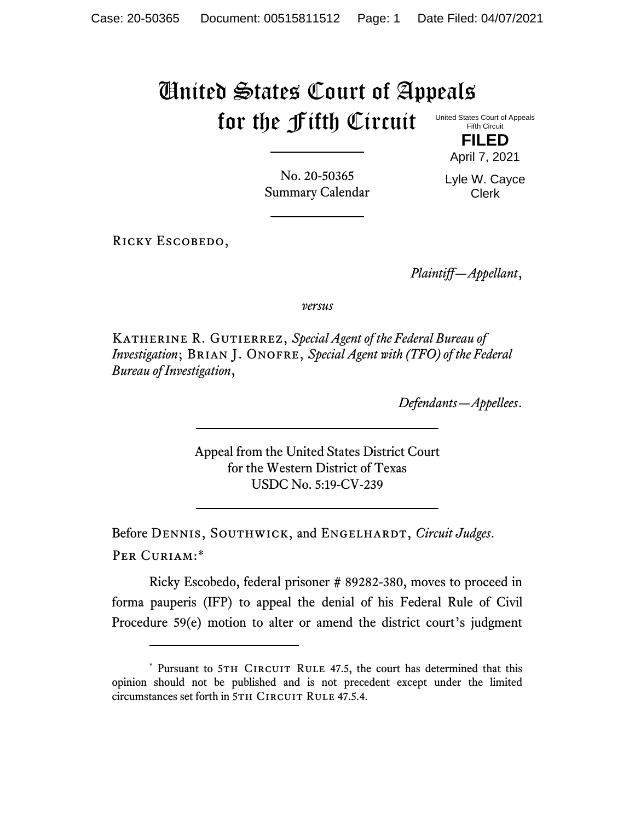## United States Court of Appeals for the Fifth Circuit

United States Court of Appeals Fifth Circuit

> **FILED** April 7, 2021

No. 20-50365 Summary Calendar Lyle W. Cayce Clerk

RICKY ESCOBEDO,

*Plaintiff—Appellant*,

*versus*

Katherine R. Gutierrez, *Special Agent of the Federal Bureau of Investigation*; BRIAN J. ONOFRE, *Special Agent with (TFO) of the Federal Bureau of Investigation*,

*Defendants—Appellees*.

Appeal from the United States District Court for the Western District of Texas USDC No. 5:19-CV-239

Before DENNIS, SOUTHWICK, and ENGELHARDT, *Circuit Judges*. Per Curiam:\*

Ricky Escobedo, federal prisoner # 89282-380, moves to proceed in forma pauperis (IFP) to appeal the denial of his Federal Rule of Civil Procedure 59(e) motion to alter or amend the district court's judgment

<sup>\*</sup> Pursuant to 5TH CIRCUIT RULE 47.5, the court has determined that this opinion should not be published and is not precedent except under the limited circumstances set forth in 5TH CIRCUIT RULE 47.5.4.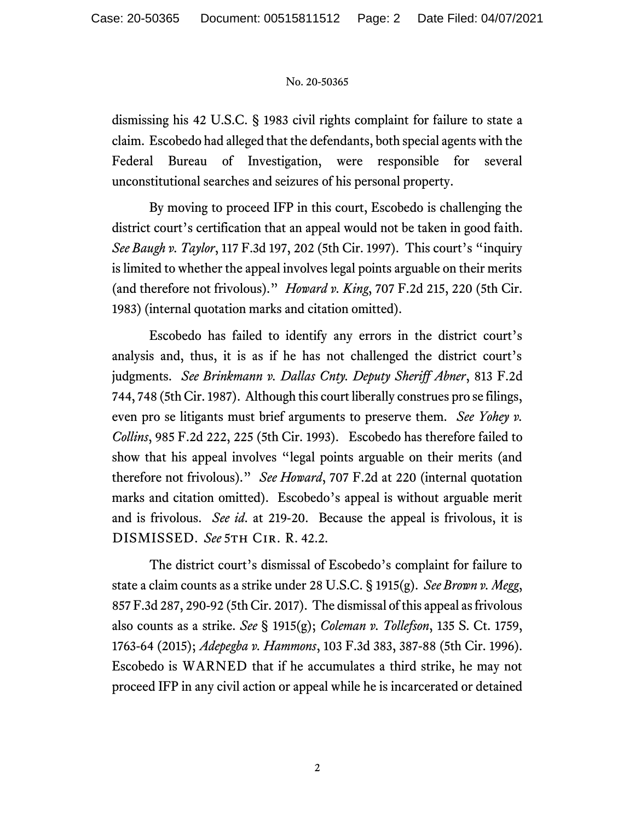## No. 20-50365

dismissing his 42 U.S.C. § 1983 civil rights complaint for failure to state a claim. Escobedo had alleged that the defendants, both special agents with the Federal Bureau of Investigation, were responsible for several unconstitutional searches and seizures of his personal property.

By moving to proceed IFP in this court, Escobedo is challenging the district court's certification that an appeal would not be taken in good faith. *See Baugh v. Taylor*, 117 F.3d 197, 202 (5th Cir. 1997). This court's "inquiry is limited to whether the appeal involves legal points arguable on their merits (and therefore not frivolous)." *Howard v. King*, 707 F.2d 215, 220 (5th Cir. 1983) (internal quotation marks and citation omitted).

Escobedo has failed to identify any errors in the district court's analysis and, thus, it is as if he has not challenged the district court's judgments. *See Brinkmann v. Dallas Cnty. Deputy Sheriff Abner*, 813 F.2d 744, 748 (5th Cir. 1987). Although this court liberally construes pro se filings, even pro se litigants must brief arguments to preserve them. *See Yohey v. Collins*, 985 F.2d 222, 225 (5th Cir. 1993). Escobedo has therefore failed to show that his appeal involves "legal points arguable on their merits (and therefore not frivolous)." *See Howard*, 707 F.2d at 220 (internal quotation marks and citation omitted). Escobedo's appeal is without arguable merit and is frivolous. *See id*. at 219-20. Because the appeal is frivolous, it is DISMISSED. *See* 5th Cir. R. 42.2.

The district court's dismissal of Escobedo's complaint for failure to state a claim counts as a strike under 28 U.S.C. § 1915(g). *See Brown v. Megg*, 857 F.3d 287, 290-92 (5th Cir. 2017). The dismissal of this appeal as frivolous also counts as a strike. *See* § 1915(g); *Coleman v. Tollefson*, 135 S. Ct. 1759, 1763-64 (2015); *Adepegba v. Hammons*, 103 F.3d 383, 387-88 (5th Cir. 1996). Escobedo is WARNED that if he accumulates a third strike, he may not proceed IFP in any civil action or appeal while he is incarcerated or detained